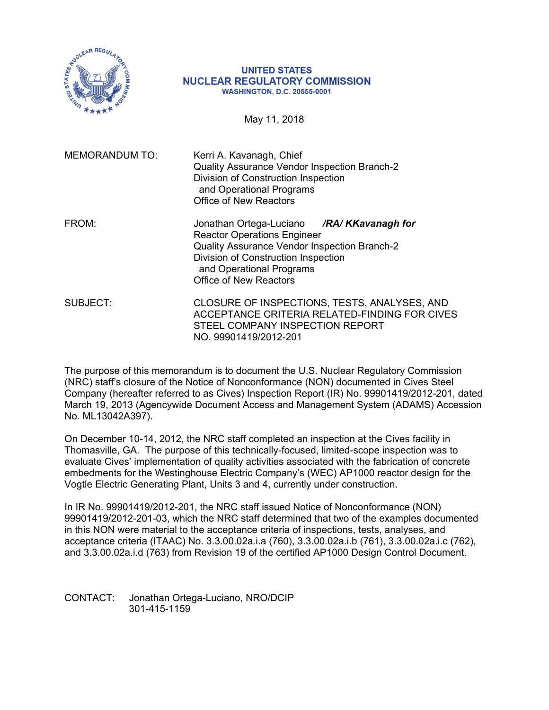

#### **UNITED STATES NUCLEAR REGULATORY COMMISSION WASHINGTON, D.C. 20555-0001**

May 11, 2018

| <b>MEMORANDUM TO:</b> | Kerri A. Kavanagh, Chief<br>Quality Assurance Vendor Inspection Branch-2<br>Division of Construction Inspection<br>and Operational Programs<br><b>Office of New Reactors</b>                                                        |
|-----------------------|-------------------------------------------------------------------------------------------------------------------------------------------------------------------------------------------------------------------------------------|
| FROM:                 | Jonathan Ortega-Luciano /RA/KKavanagh for<br><b>Reactor Operations Engineer</b><br>Quality Assurance Vendor Inspection Branch-2<br>Division of Construction Inspection<br>and Operational Programs<br><b>Office of New Reactors</b> |
| SUBJECT:              | CLOSURE OF INSPECTIONS, TESTS, ANALYSES, AND<br>ACCEPTANCE CRITERIA RELATED-FINDING FOR CIVES<br>STEEL COMPANY INSPECTION REPORT<br>NO. 99901419/2012-201                                                                           |

The purpose of this memorandum is to document the U.S. Nuclear Regulatory Commission (NRC) staff's closure of the Notice of Nonconformance (NON) documented in Cives Steel Company (hereafter referred to as Cives) Inspection Report (IR) No. 99901419/2012-201, dated March 19, 2013 (Agencywide Document Access and Management System (ADAMS) Accession No. ML13042A397).

On December 10-14, 2012, the NRC staff completed an inspection at the Cives facility in Thomasville, GA. The purpose of this technically-focused, limited-scope inspection was to evaluate Cives' implementation of quality activities associated with the fabrication of concrete embedments for the Westinghouse Electric Company's (WEC) AP1000 reactor design for the Vogtle Electric Generating Plant, Units 3 and 4, currently under construction.

In IR No. 99901419/2012-201, the NRC staff issued Notice of Nonconformance (NON) 99901419/2012-201-03, which the NRC staff determined that two of the examples documented in this NON were material to the acceptance criteria of inspections, tests, analyses, and acceptance criteria (ITAAC) No. 3.3.00.02a.i.a (760), 3.3.00.02a.i.b (761), 3.3.00.02a.i.c (762), and 3.3.00.02a.i.d (763) from Revision 19 of the certified AP1000 Design Control Document.

CONTACT: Jonathan Ortega-Luciano, NRO/DCIP 301-415-1159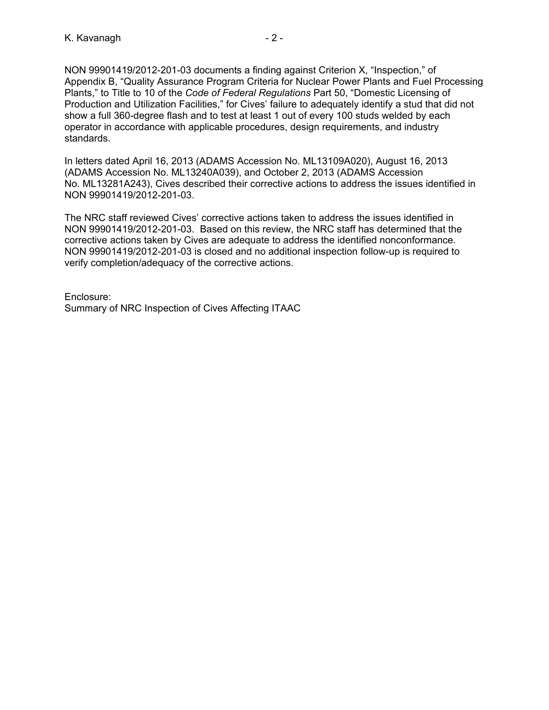NON 99901419/2012-201-03 documents a finding against Criterion X, "Inspection," of Appendix B, "Quality Assurance Program Criteria for Nuclear Power Plants and Fuel Processing Plants," to Title to 10 of the *Code of Federal Regulations* Part 50, "Domestic Licensing of Production and Utilization Facilities," for Cives' failure to adequately identify a stud that did not show a full 360-degree flash and to test at least 1 out of every 100 studs welded by each operator in accordance with applicable procedures, design requirements, and industry standards.

In letters dated April 16, 2013 (ADAMS Accession No. ML13109A020), August 16, 2013 (ADAMS Accession No. ML13240A039), and October 2, 2013 (ADAMS Accession No. ML13281A243), Cives described their corrective actions to address the issues identified in NON 99901419/2012-201-03.

The NRC staff reviewed Cives' corrective actions taken to address the issues identified in NON 99901419/2012-201-03. Based on this review, the NRC staff has determined that the corrective actions taken by Cives are adequate to address the identified nonconformance. NON 99901419/2012-201-03 is closed and no additional inspection follow-up is required to verify completion/adequacy of the corrective actions.

Enclosure: Summary of NRC Inspection of Cives Affecting ITAAC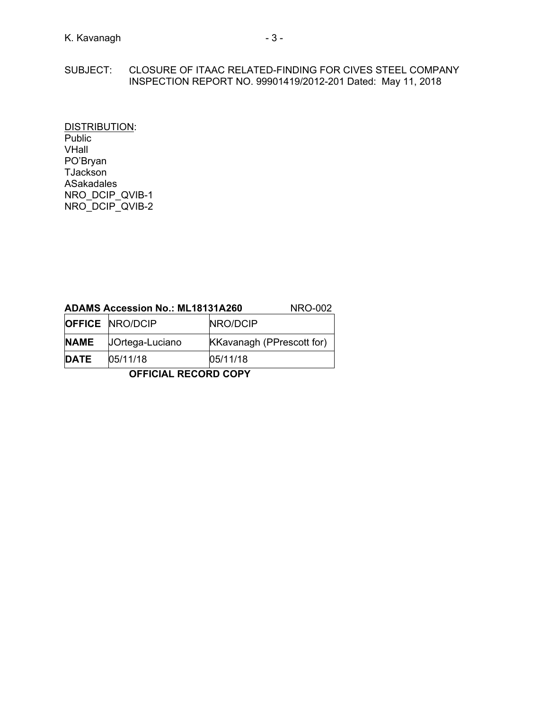#### SUBJECT: CLOSURE OF ITAAC RELATED-FINDING FOR CIVES STEEL COMPANY INSPECTION REPORT NO. 99901419/2012-201 Dated: May 11, 2018

DISTRIBUTION: Public VHall PO'Bryan **TJackson** ASakadales NRO\_DCIP\_QVIB-1 NRO\_DCIP\_QVIB-2

# **ADAMS Accession No.: ML18131A260** NRO-002

| 05/11/18<br>05/11/18<br><b>DATE</b><br><b>OFFICIAL RECORD COPY</b> |                        |                                  |  |  |
|--------------------------------------------------------------------|------------------------|----------------------------------|--|--|
|                                                                    |                        |                                  |  |  |
| <b>NAME</b>                                                        | <b>JOrtega-Luciano</b> | <b>KKavanagh (PPrescott for)</b> |  |  |
|                                                                    | <b>OFFICE NRO/DCIP</b> | NRO/DCIP                         |  |  |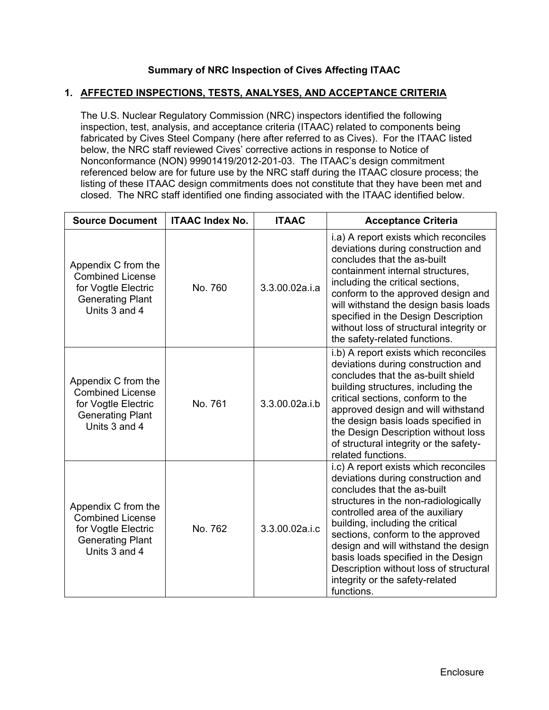## **Summary of NRC Inspection of Cives Affecting ITAAC**

#### **1. AFFECTED INSPECTIONS, TESTS, ANALYSES, AND ACCEPTANCE CRITERIA**

The U.S. Nuclear Regulatory Commission (NRC) inspectors identified the following inspection, test, analysis, and acceptance criteria (ITAAC) related to components being fabricated by Cives Steel Company (here after referred to as Cives). For the ITAAC listed below, the NRC staff reviewed Cives' corrective actions in response to Notice of Nonconformance (NON) 99901419/2012-201-03. The ITAAC's design commitment referenced below are for future use by the NRC staff during the ITAAC closure process; the listing of these ITAAC design commitments does not constitute that they have been met and closed. The NRC staff identified one finding associated with the ITAAC identified below.

| <b>Source Document</b>                                                                                            | <b>ITAAC Index No.</b> | <b>ITAAC</b>   | <b>Acceptance Criteria</b>                                                                                                                                                                                                                                                                                                                                                                                                                |
|-------------------------------------------------------------------------------------------------------------------|------------------------|----------------|-------------------------------------------------------------------------------------------------------------------------------------------------------------------------------------------------------------------------------------------------------------------------------------------------------------------------------------------------------------------------------------------------------------------------------------------|
| Appendix C from the<br><b>Combined License</b><br>for Vogtle Electric<br><b>Generating Plant</b><br>Units 3 and 4 | No. 760                | 3.3.00.02a.i.a | i.a) A report exists which reconciles<br>deviations during construction and<br>concludes that the as-built<br>containment internal structures.<br>including the critical sections,<br>conform to the approved design and<br>will withstand the design basis loads<br>specified in the Design Description<br>without loss of structural integrity or<br>the safety-related functions.                                                      |
| Appendix C from the<br><b>Combined License</b><br>for Vogtle Electric<br><b>Generating Plant</b><br>Units 3 and 4 | No. 761                | 3.3.00.02a.i.b | i.b) A report exists which reconciles<br>deviations during construction and<br>concludes that the as-built shield<br>building structures, including the<br>critical sections, conform to the<br>approved design and will withstand<br>the design basis loads specified in<br>the Design Description without loss<br>of structural integrity or the safety-<br>related functions.                                                          |
| Appendix C from the<br><b>Combined License</b><br>for Vogtle Electric<br><b>Generating Plant</b><br>Units 3 and 4 | No. 762                | 3.3.00.02a.i.c | i.c) A report exists which reconciles<br>deviations during construction and<br>concludes that the as-built<br>structures in the non-radiologically<br>controlled area of the auxiliary<br>building, including the critical<br>sections, conform to the approved<br>design and will withstand the design<br>basis loads specified in the Design<br>Description without loss of structural<br>integrity or the safety-related<br>functions. |